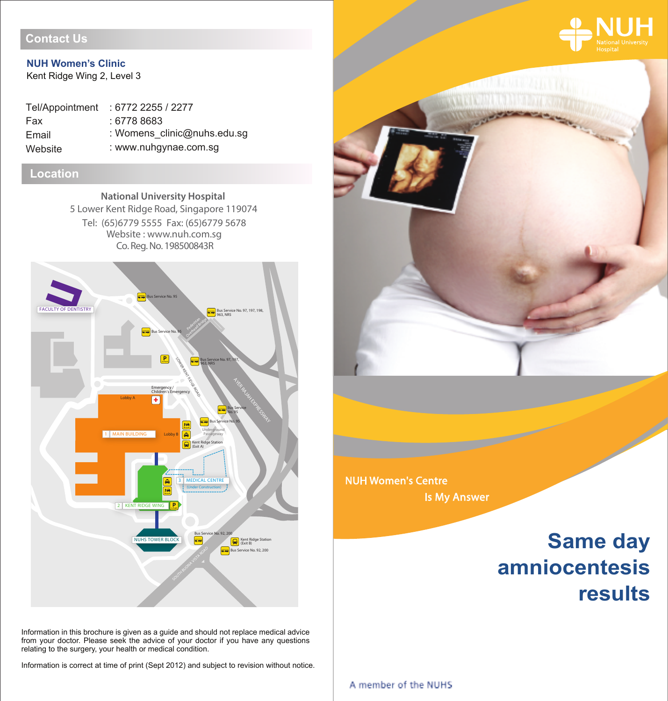## **Contact Us**

#### **NUH Women's Clinic**

Kent Ridge Wing 2, Level 3

| Tel/Appointment | : 6772 2255 / 2277          |
|-----------------|-----------------------------|
| Fax             | : 6778 8683                 |
| Email           | : Womens_clinic@nuhs.edu.sg |
| Website         | : www.nuhgynae.com.sq       |

### **Location**

Co. Reg. No. 198500843R **National University Hospital**  5 Lower Kent Ridge Road, Singapore 119074 Website : www.nuh.com.sg Tel: (65)6779 5555 Fax: (65)6779 5678



Information in this brochure is given as a guide and should not replace medical advice from your doctor. Please seek the advice of your doctor if you have any questions relating to the surgery, your health or medical condition.

Information is correct at time of print (Sept 2012) and subject to revision without notice.



NUH Women's Centre Is My Answer

# **Same day amniocentesis results**